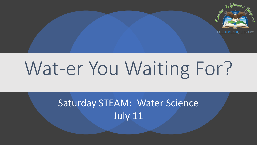

# Wat-er You Waiting For?

# Saturday STEAM: Water Science July 11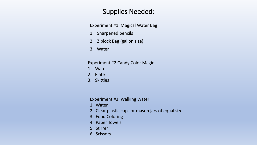#### Supplies Needed:

Experiment #1 Magical Water Bag

- 1. Sharpened pencils
- 2. Ziplock Bag (gallon size)
- 3. Water

Experiment #2 Candy Color Magic

- 1. Water
- 2. Plate
- 3. Skittles

Experiment #3 Walking Water

- 1. Water
- 2. Clear plastic cups or mason jars of equal size
- 3. Food Coloring
- 4. Paper Towels
- 5. Stirrer
- 6. Scissors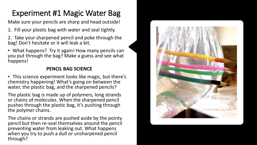# Experiment #1 Magic Water Bag

Make sure your pencils are sharp and head outside!

- 1. Fill your plastic bag with water and seal tightly.
- 2. Take your sharpened pencil and poke through the bag! Don't hesitate or it will leak a bit.

• What happens? Try it again! How many pencils can you put through the bag? Make a guess and see what happens!

#### **PENCIL BAG SCIENCE**

• This science experiment looks like magic, but there's chemistry happening! What's going on between the water, the plastic bag, and the sharpened pencils?

The plastic bag is made up of polymers, long strands or chains of molecules. When the sharpened pencil pushes through the plastic bag, it's pushing through the polymer chains.

The chains or strands are pushed aside by the pointy pencil but then re-seal themselves around the pencil preventing water from leaking out. What happens when you try to push a dull or unsharpened pencil through?

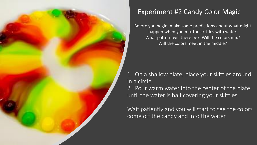

## Experiment #2 Candy Color Magic

Before you begin, make some predictions about what might happen when you mix the skittles with water. What pattern will there be? Will the colors mix? Will the colors meet in the middle?

1. On a shallow plate, place your skittles around in a circle.

2. Pour warm water into the center of the plate until the water is half covering your skittles.

Wait patiently and you will start to see the colors come off the candy and into the water.